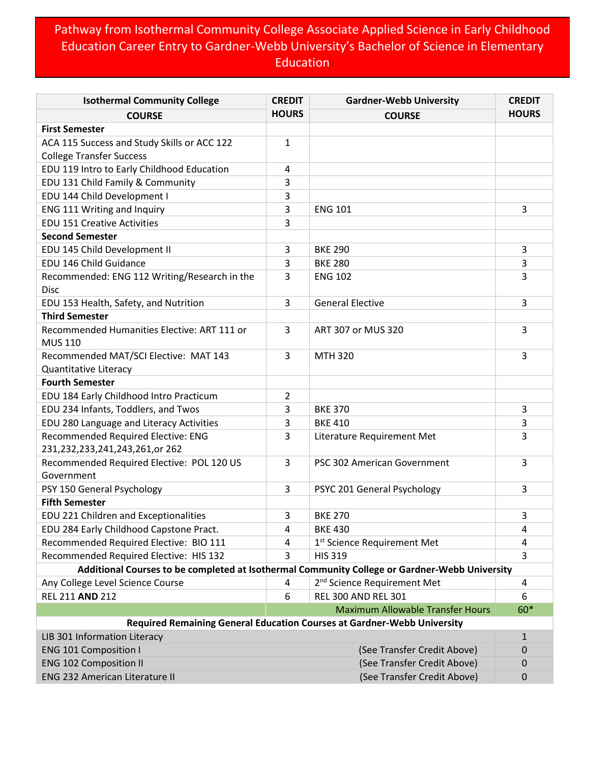## Pathway from Isothermal Community College Associate Applied Science in Early Childhood Education Career Entry to Gardner-Webb University's Bachelor of Science in Elementary **Education**

| <b>Isothermal Community College</b>                                                           | <b>CREDIT</b>  | <b>Gardner-Webb University</b>                                          | <b>CREDIT</b> |
|-----------------------------------------------------------------------------------------------|----------------|-------------------------------------------------------------------------|---------------|
| <b>COURSE</b>                                                                                 | <b>HOURS</b>   | <b>COURSE</b>                                                           | <b>HOURS</b>  |
| <b>First Semester</b>                                                                         |                |                                                                         |               |
| ACA 115 Success and Study Skills or ACC 122                                                   | 1              |                                                                         |               |
| <b>College Transfer Success</b>                                                               |                |                                                                         |               |
| EDU 119 Intro to Early Childhood Education                                                    | 4              |                                                                         |               |
| EDU 131 Child Family & Community                                                              | 3              |                                                                         |               |
| EDU 144 Child Development I                                                                   | 3              |                                                                         |               |
| ENG 111 Writing and Inquiry                                                                   | 3              | <b>ENG 101</b>                                                          | 3             |
| <b>EDU 151 Creative Activities</b>                                                            | 3              |                                                                         |               |
| <b>Second Semester</b>                                                                        |                |                                                                         |               |
| EDU 145 Child Development II                                                                  | 3              | <b>BKE 290</b>                                                          | 3             |
| EDU 146 Child Guidance                                                                        | 3              | <b>BKE 280</b>                                                          | 3             |
| Recommended: ENG 112 Writing/Research in the<br><b>Disc</b>                                   | 3              | <b>ENG 102</b>                                                          | 3             |
| EDU 153 Health, Safety, and Nutrition                                                         | 3              | <b>General Elective</b>                                                 | 3             |
| <b>Third Semester</b>                                                                         |                |                                                                         |               |
| Recommended Humanities Elective: ART 111 or<br><b>MUS 110</b>                                 | 3              | ART 307 or MUS 320                                                      | 3             |
| Recommended MAT/SCI Elective: MAT 143<br>Quantitative Literacy                                | 3              | <b>MTH 320</b>                                                          | 3             |
| <b>Fourth Semester</b>                                                                        |                |                                                                         |               |
| EDU 184 Early Childhood Intro Practicum                                                       | $\overline{2}$ |                                                                         |               |
| EDU 234 Infants, Toddlers, and Twos                                                           | 3              | <b>BKE 370</b>                                                          | 3             |
| EDU 280 Language and Literacy Activities                                                      | 3              | <b>BKE 410</b>                                                          | 3             |
| Recommended Required Elective: ENG                                                            | 3              | Literature Requirement Met                                              | 3             |
| 231,232,233,241,243,261,or 262                                                                |                |                                                                         |               |
| Recommended Required Elective: POL 120 US<br>Government                                       | 3              | PSC 302 American Government                                             | 3             |
| PSY 150 General Psychology                                                                    | 3              | PSYC 201 General Psychology                                             | 3             |
| <b>Fifth Semester</b>                                                                         |                |                                                                         |               |
| EDU 221 Children and Exceptionalities                                                         | 3              | <b>BKE 270</b>                                                          | 3             |
| EDU 284 Early Childhood Capstone Pract.                                                       | 4              | <b>BKE 430</b>                                                          | 4             |
| Recommended Required Elective: BIO 111                                                        | 4              | 1 <sup>st</sup> Science Requirement Met                                 | 4             |
| Recommended Required Elective: HIS 132                                                        | 3              | <b>HIS 319</b>                                                          | 3             |
| Additional Courses to be completed at Isothermal Community College or Gardner-Webb University |                |                                                                         |               |
| Any College Level Science Course                                                              | 4              | 2 <sup>nd</sup> Science Requirement Met                                 | 4             |
| <b>REL 211 AND 212</b>                                                                        | 6              | <b>REL 300 AND REL 301</b>                                              | 6             |
|                                                                                               |                | <b>Maximum Allowable Transfer Hours</b>                                 | 60*           |
|                                                                                               |                | Required Remaining General Education Courses at Gardner-Webb University |               |
| LIB 301 Information Literacy                                                                  |                |                                                                         | 1             |
| <b>ENG 101 Composition I</b>                                                                  |                | (See Transfer Credit Above)                                             | 0             |
| <b>ENG 102 Composition II</b>                                                                 |                | (See Transfer Credit Above)                                             | 0             |
| <b>ENG 232 American Literature II</b>                                                         |                | (See Transfer Credit Above)                                             | 0             |